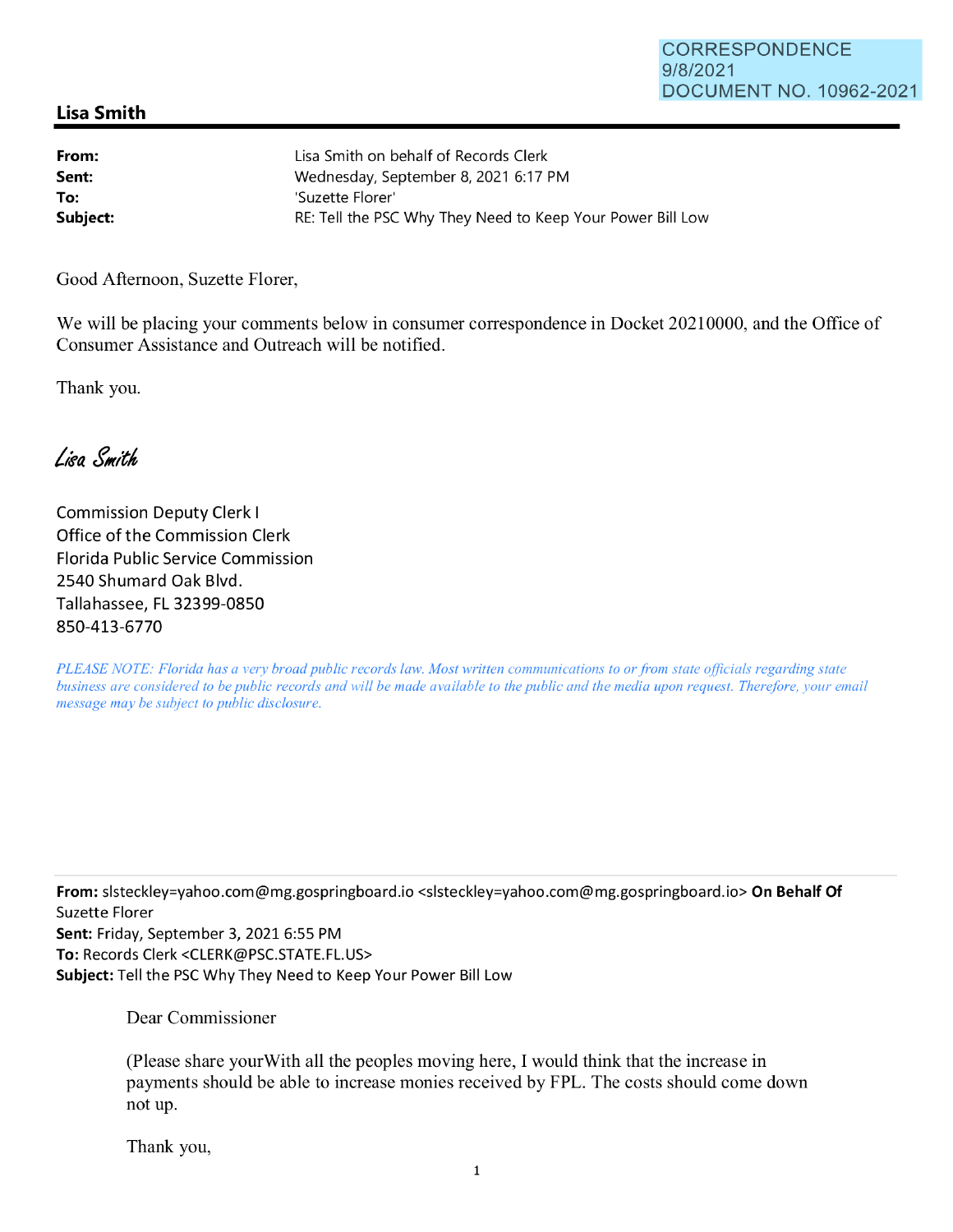## CORRESPONDENCE 9/8/2021 DOCUMENT NO. 10962-2021

## **Lisa Smith**

| From:    | Lisa Smith on behalf of Records Clerk                      |
|----------|------------------------------------------------------------|
| Sent:    | Wednesday, September 8, 2021 6:17 PM                       |
| To:      | 'Suzette Florer'                                           |
| Subject: | RE: Tell the PSC Why They Need to Keep Your Power Bill Low |

Good Afternoon, Suzette Florer,

We will be placing your comments below in consumer correspondence in Docket 20210000, and the Office of Consumer Assistance and Outreach will be notified.

Thank you.

Lisa Smith

Commission Deputy Clerk I Office of the Commission Clerk Florida Public Service Commission 2540 Shumard Oak Blvd. Tallahassee, FL 32399-0850 850-413-6770

*PLEASE NOTE: Florida has a very broad public records law. Most written communications to or from state officials regarding state business are considered to be public records and will be made available to the public and the media upon request. Therefore, your email message may be subject to public disclosure.* 

**From:** slsteckley=yahoo.com@mg.gospringboard.io <slsteckley=yahoo.com@mg.gospringboard.io> **On Behalf Of**  Suzette Florer

**Sent:** Friday, September 3, 2021 6:55 PM **To:** Records Clerk <CLERK@PSC.STATE.FL.US> **Subject:** Tell the PSC Why They Need to Keep Your Power Bill Low

Dear Commissioner

(Please share yourWith all the peoples moving here, I would think that the increase in payments should be able to increase monies received by FPL. The costs should come down not up.

Thank you,